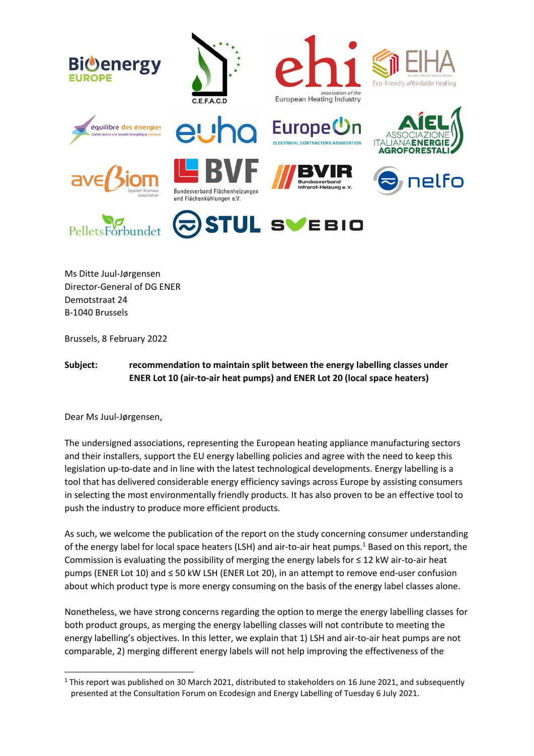





















Ms Ditte Juul-Jørgensen Director-General of DG ENER Demotstraat 24 B-1040 Brussels

Brussels, 8 February 2022

# **Subject: recommendation to maintain split between the energy labelling classes under ENER Lot 10 (air-to-air heat pumps) and ENER Lot 20 (local space heaters)**

Dear Ms Juul-Jørgensen,

The undersigned associations, representing the European heating appliance manufacturing sectors and their installers, support the EU energy labelling policies and agree with the need to keep this legislation up-to-date and in line with the latest technological developments. Energy labelling is a tool that has delivered considerable energy efficiency savings across Europe by assisting consumers in selecting the most environmentally friendly products. It has also proven to be an effective tool to push the industry to produce more efficient products.

As such, we welcome the publication of the report on the study concerning consumer understanding of the energy label for local space heaters (LSH) and air-to-air heat pumps.<sup>1</sup> Based on this report, the Commission is evaluating the possibility of merging the energy labels for ≤ 12 kW air-to-air heat pumps (ENER Lot 10) and ≤ 50 kW LSH (ENER Lot 20), in an attempt to remove end-user confusion about which product type is more energy consuming on the basis of the energy label classes alone.

Nonetheless, we have strong concerns regarding the option to merge the energy labelling classes for both product groups, as merging the energy labelling classes will not contribute to meeting the energy labelling's objectives. In this letter, we explain that 1) LSH and air-to-air heat pumps are not comparable, 2) merging different energy labels will not help improving the effectiveness of the

 $1$  This report was published on 30 March 2021, distributed to stakeholders on 16 June 2021, and subsequently presented at the Consultation Forum on Ecodesign and Energy Labelling of Tuesday 6 July 2021.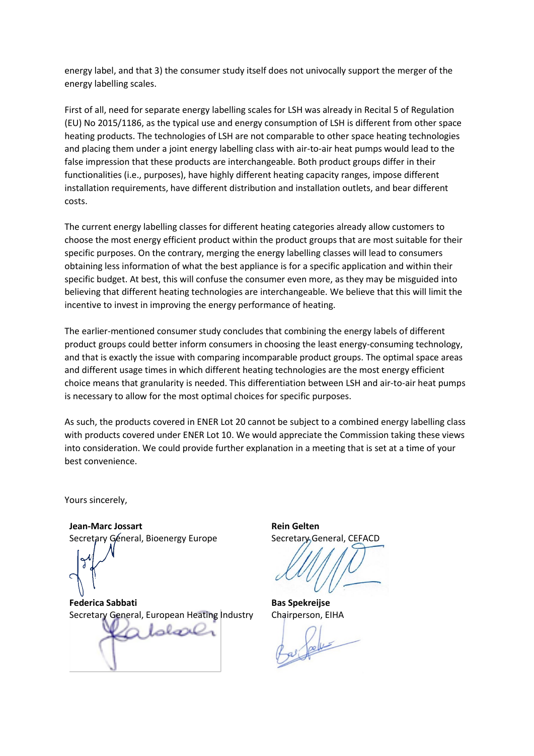energy label, and that 3) the consumer study itself does not univocally support the merger of the energy labelling scales.

First of all, need for separate energy labelling scales for LSH was already in Recital 5 of Regulation (EU) No 2015/1186, as the typical use and energy consumption of LSH is different from other space heating products. The technologies of LSH are not comparable to other space heating technologies and placing them under a joint energy labelling class with air-to-air heat pumps would lead to the false impression that these products are interchangeable. Both product groups differ in their functionalities (i.e., purposes), have highly different heating capacity ranges, impose different installation requirements, have different distribution and installation outlets, and bear different costs.

The current energy labelling classes for different heating categories already allow customers to choose the most energy efficient product within the product groups that are most suitable for their specific purposes. On the contrary, merging the energy labelling classes will lead to consumers obtaining less information of what the best appliance is for a specific application and within their specific budget. At best, this will confuse the consumer even more, as they may be misguided into believing that different heating technologies are interchangeable. We believe that this will limit the incentive to invest in improving the energy performance of heating.

The earlier-mentioned consumer study concludes that combining the energy labels of different product groups could better inform consumers in choosing the least energy-consuming technology, and that is exactly the issue with comparing incomparable product groups. The optimal space areas and different usage times in which different heating technologies are the most energy efficient choice means that granularity is needed. This differentiation between LSH and air-to-air heat pumps is necessary to allow for the most optimal choices for specific purposes.

As such, the products covered in ENER Lot 20 cannot be subject to a combined energy labelling class with products covered under ENER Lot 10. We would appreciate the Commission taking these views into consideration. We could provide further explanation in a meeting that is set at a time of your best convenience.

Yours sincerely,

**Jean-Marc Jossart** Secretary Géneral, Bioenergy Europe

**Federica Sabbati** Secretary General, European Heating Industry

Laborer

**Rein Gelten** Secretary General, CEFACD

**Bas Spekreijse** Chairperson, EIHA

per felix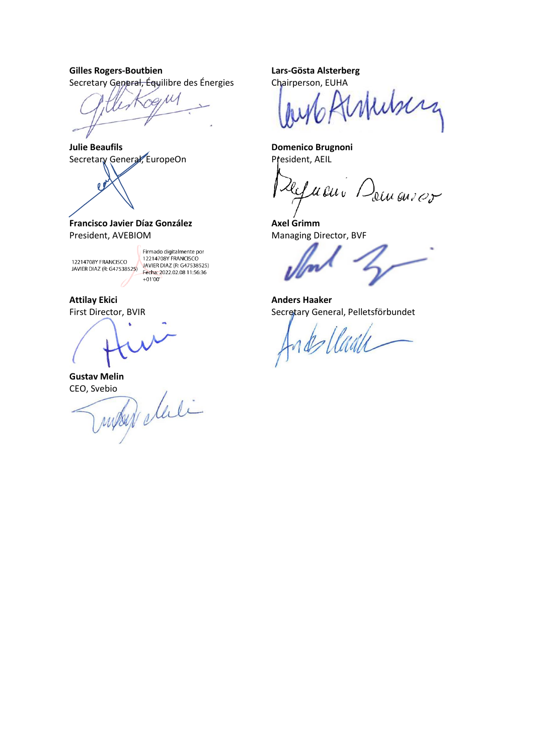**Gilles Rogers-Boutbien** Secretary General, Équilibre des Énergies

 $P/M$ 

**Julie Beaufils** Secretary General, EuropeOn



**Francisco Javier Díaz González** President, AVEBIOM

Firmado digitalmente por 12214708Y FRANCISCO<br>
12214708Y FRANCISCO<br>
12214708Y FRANCISCO<br>
12214708Y FRANCISCO<br>
11:56:36<br>
Fecha: 2022.02.08 11:56:36  $+01'00'$ 

**Attilay Ekici** First Director, BVIR

CEO, Svebio

Gustav Melin<br>CEO, Svebio<br>*MUSSIN* elleli

**Lars-Gösta Alsterberg** Chairperson, EUHA

ferhiberg

**Domenico Brugnoni** President, AEIL

Refueur Demanser

**Axel Grimm** Managing Director, BVF

**Anders Haaker** Secretary General, Pelletsförbundet

de llade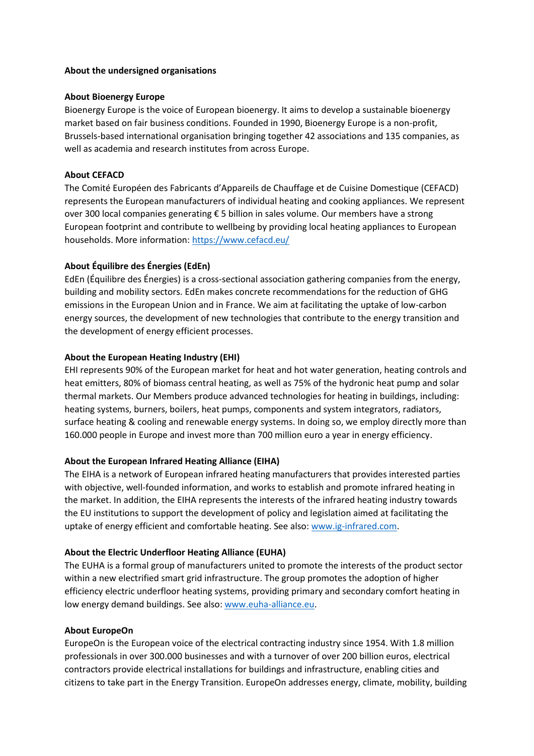#### **About the undersigned organisations**

#### **About Bioenergy Europe**

Bioenergy Europe is the voice of European bioenergy. It aims to develop a sustainable bioenergy market based on fair business conditions. Founded in 1990, Bioenergy Europe is a non-profit, Brussels-based international organisation bringing together 42 associations and 135 companies, as well as academia and research institutes from across Europe.

# **About CEFACD**

The Comité Européen des Fabricants d'Appareils de Chauffage et de Cuisine Domestique (CEFACD) represents the European manufacturers of individual heating and cooking appliances. We represent over 300 local companies generating € 5 billion in sales volume. Our members have a strong European footprint and contribute to wellbeing by providing local heating appliances to European households. More information:<https://www.cefacd.eu/>

# **About Équilibre des Énergies (EdEn)**

EdEn (Équilibre des Énergies) is a cross-sectional association gathering companies from the energy, building and mobility sectors. EdEn makes concrete recommendations for the reduction of GHG emissions in the European Union and in France. We aim at facilitating the uptake of low-carbon energy sources, the development of new technologies that contribute to the energy transition and the development of energy efficient processes.

#### **About the European Heating Industry (EHI)**

EHI represents 90% of the European market for heat and hot water generation, heating controls and heat emitters, 80% of biomass central heating, as well as 75% of the hydronic heat pump and solar thermal markets. Our Members produce advanced technologies for heating in buildings, including: heating systems, burners, boilers, heat pumps, components and system integrators, radiators, surface heating & cooling and renewable energy systems. In doing so, we employ directly more than 160.000 people in Europe and invest more than 700 million euro a year in energy efficiency.

#### **About the European Infrared Heating Alliance (EIHA)**

The EIHA is a network of European infrared heating manufacturers that provides interested parties with objective, well-founded information, and works to establish and promote infrared heating in the market. In addition, the EIHA represents the interests of the infrared heating industry towards the EU institutions to support the development of policy and legislation aimed at facilitating the uptake of energy efficient and comfortable heating. See also: [www.ig-infrared.com.](http://www.ig-infrared.com/)

#### **About the Electric Underfloor Heating Alliance (EUHA)**

The EUHA is a formal group of manufacturers united to promote the interests of the product sector within a new electrified smart grid infrastructure. The group promotes the adoption of higher efficiency electric underfloor heating systems, providing primary and secondary comfort heating in low energy demand buildings. See also[: www.euha-alliance.eu.](http://www.euha-alliance.eu/)

#### **About EuropeOn**

EuropeOn is the European voice of the electrical contracting industry since 1954. With 1.8 million professionals in over 300.000 businesses and with a turnover of over 200 billion euros, electrical contractors provide electrical installations for buildings and infrastructure, enabling cities and citizens to take part in the Energy Transition. EuropeOn addresses energy, climate, mobility, building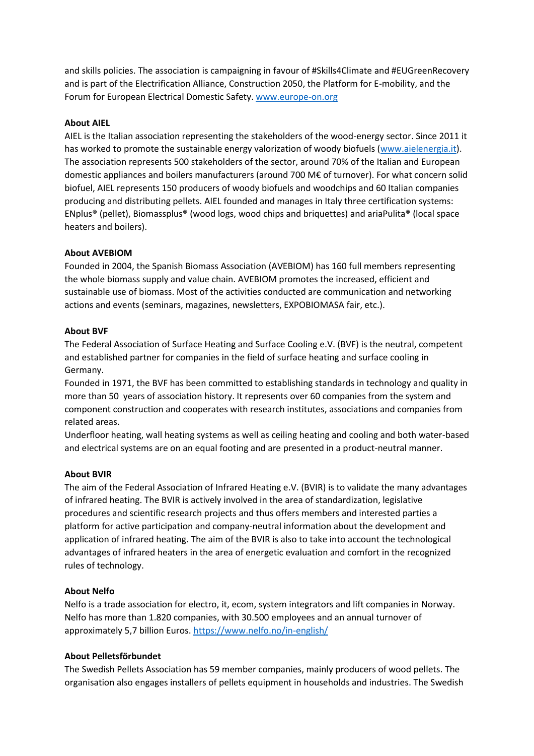and skills policies. The association is campaigning in favour of #Skills4Climate and #EUGreenRecovery and is part of the Electrification Alliance, Construction 2050, the Platform for E-mobility, and the Forum for European Electrical Domestic Safety[. www.europe-on.org](http://www.europe-on.org/)

# **About AIEL**

AIEL is the Italian association representing the stakeholders of the wood-energy sector. Since 2011 it has worked to promote the sustainable energy valorization of woody biofuels [\(www.aielenergia.it\)](http://www.aielenergia.it/). The association represents 500 stakeholders of the sector, around 70% of the Italian and European domestic appliances and boilers manufacturers (around 700 M€ of turnover). For what concern solid biofuel, AIEL represents 150 producers of woody biofuels and woodchips and 60 Italian companies producing and distributing pellets. AIEL founded and manages in Italy three certification systems: ENplus®️ (pellet), Biomassplus®️ (wood logs, wood chips and briquettes) and ariaPulita®️ (local space heaters and boilers).

# **About AVEBIOM**

Founded in 2004, the Spanish Biomass Association (AVEBIOM) has 160 full members representing the whole biomass supply and value chain. AVEBIOM promotes the increased, efficient and sustainable use of biomass. Most of the activities conducted are communication and networking actions and events (seminars, magazines, newsletters, EXPOBIOMASA fair, etc.).

# **About BVF**

The Federal Association of Surface Heating and Surface Cooling e.V. (BVF) is the neutral, competent and established partner for companies in the field of surface heating and surface cooling in Germany.

Founded in 1971, the BVF has been committed to establishing standards in technology and quality in more than 50 years of association history. It represents over 60 companies from the system and component construction and cooperates with research institutes, associations and companies from related areas.

Underfloor heating, wall heating systems as well as ceiling heating and cooling and both water-based and electrical systems are on an equal footing and are presented in a product-neutral manner.

# **About BVIR**

The aim of the Federal Association of Infrared Heating e.V. (BVIR) is to validate the many advantages of infrared heating. The BVIR is actively involved in the area of standardization, legislative procedures and scientific research projects and thus offers members and interested parties a platform for active participation and company-neutral information about the development and application of infrared heating. The aim of the BVIR is also to take into account the technological advantages of infrared heaters in the area of energetic evaluation and comfort in the recognized rules of technology.

# **About Nelfo**

Nelfo is a trade association for electro, it, ecom, system integrators and lift companies in Norway. Nelfo has more than 1.820 companies, with 30.500 employees and an annual turnover of approximately 5,7 billion Euros[. https://www.nelfo.no/in-english/](https://www.nelfo.no/in-english/)

# **About Pelletsförbundet**

The Swedish Pellets Association has 59 member companies, mainly producers of wood pellets. The organisation also engages installers of pellets equipment in households and industries. The Swedish